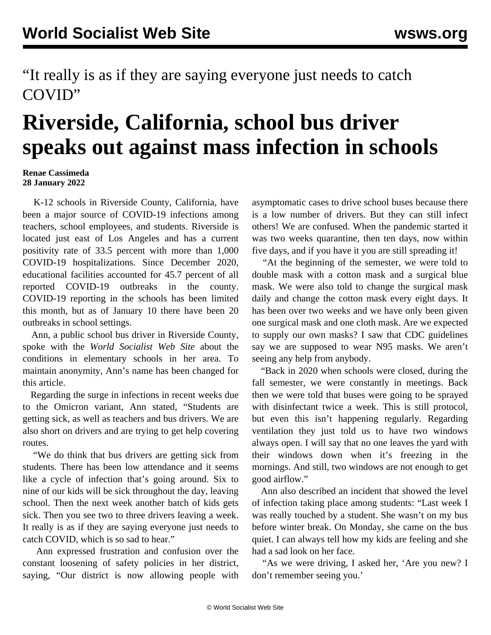"It really is as if they are saying everyone just needs to catch COVID"

## **Riverside, California, school bus driver speaks out against mass infection in schools**

## **Renae Cassimeda 28 January 2022**

 K-12 schools in Riverside County, California, have been a major source of COVID-19 infections among teachers, school employees, and students. Riverside is located just east of Los Angeles and has a current positivity rate of 33.5 percent with more than 1,000 COVID-19 hospitalizations. Since December 2020, educational facilities accounted for 45.7 percent of all reported COVID-19 outbreaks in the county. COVID-19 reporting in the schools has been limited this month, but as of January 10 there have been 20 outbreaks in school settings.

 Ann, a public school bus driver in Riverside County, spoke with the *World Socialist Web Site* about the conditions in elementary schools in her area. To maintain anonymity, Ann's name has been changed for this article.

 Regarding the surge in infections in recent weeks due to the Omicron variant, Ann stated, "Students are getting sick, as well as teachers and bus drivers. We are also short on drivers and are trying to get help covering routes.

 "We do think that bus drivers are getting sick from students. There has been low attendance and it seems like a cycle of infection that's going around. Six to nine of our kids will be sick throughout the day, leaving school. Then the next week another batch of kids gets sick. Then you see two to three drivers leaving a week. It really is as if they are saying everyone just needs to catch COVID, which is so sad to hear."

 Ann expressed frustration and confusion over the constant loosening of safety policies in her district, saying, "Our district is now allowing people with asymptomatic cases to drive school buses because there is a low number of drivers. But they can still infect others! We are confused. When the pandemic started it was two weeks quarantine, then ten days, now within five days, and if you have it you are still spreading it!

 "At the beginning of the semester, we were told to double mask with a cotton mask and a surgical blue mask. We were also told to change the surgical mask daily and change the cotton mask every eight days. It has been over two weeks and we have only been given one surgical mask and one cloth mask. Are we expected to supply our own masks? I saw that CDC guidelines say we are supposed to wear N95 masks. We aren't seeing any help from anybody.

 "Back in 2020 when schools were closed, during the fall semester, we were constantly in meetings. Back then we were told that buses were going to be sprayed with disinfectant twice a week. This is still protocol, but even this isn't happening regularly. Regarding ventilation they just told us to have two windows always open. I will say that no one leaves the yard with their windows down when it's freezing in the mornings. And still, two windows are not enough to get good airflow."

 Ann also described an incident that showed the level of infection taking place among students: "Last week I was really touched by a student. She wasn't on my bus before winter break. On Monday, she came on the bus quiet. I can always tell how my kids are feeling and she had a sad look on her face.

 "As we were driving, I asked her, 'Are you new? I don't remember seeing you.'